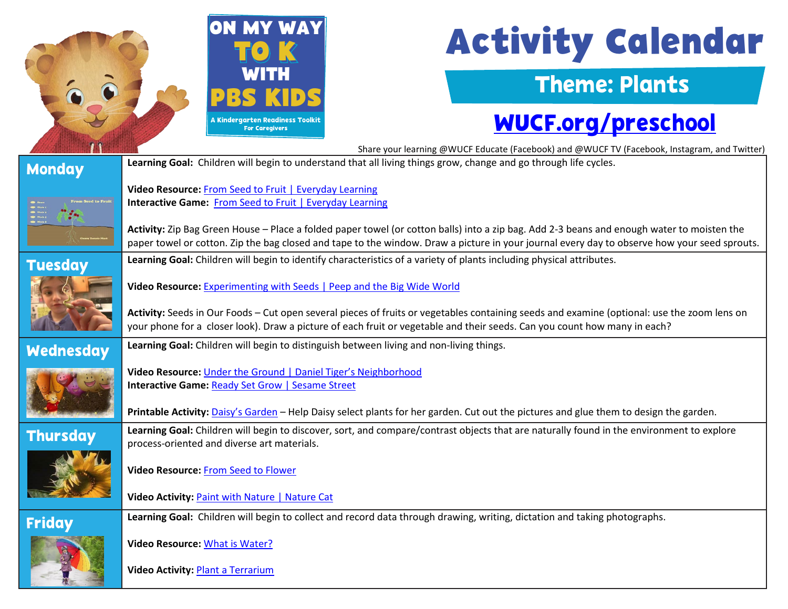

# **Activity Calendar**

### Theme: Plants

## [WUCF.org/preschool](https://www.wucf.org/community/family/wucf-on-my-way-to-k/)

|                  | Share your learning @WUCF Educate (Facebook) and @WUCF TV (Facebook, Instagram, and Twitter)                                                                                                                                                                                               |
|------------------|--------------------------------------------------------------------------------------------------------------------------------------------------------------------------------------------------------------------------------------------------------------------------------------------|
| <b>Monday</b>    | Learning Goal: Children will begin to understand that all living things grow, change and go through life cycles.                                                                                                                                                                           |
|                  | Video Resource: From Seed to Fruit   Everyday Learning                                                                                                                                                                                                                                     |
| rom Seed to Frui | Interactive Game: From Seed to Fruit   Everyday Learning                                                                                                                                                                                                                                   |
|                  | Activity: Zip Bag Green House - Place a folded paper towel (or cotton balls) into a zip bag. Add 2-3 beans and enough water to moisten the<br>paper towel or cotton. Zip the bag closed and tape to the window. Draw a picture in your journal every day to observe how your seed sprouts. |
| <b>Tuesday</b>   | Learning Goal: Children will begin to identify characteristics of a variety of plants including physical attributes.                                                                                                                                                                       |
|                  | Video Resource: Experimenting with Seeds   Peep and the Big Wide World                                                                                                                                                                                                                     |
|                  | Activity: Seeds in Our Foods - Cut open several pieces of fruits or vegetables containing seeds and examine (optional: use the zoom lens on<br>your phone for a closer look). Draw a picture of each fruit or vegetable and their seeds. Can you count how many in each?                   |
| <b>Wednesday</b> | Learning Goal: Children will begin to distinguish between living and non-living things.                                                                                                                                                                                                    |
|                  | Video Resource: Under the Ground   Daniel Tiger's Neighborhood                                                                                                                                                                                                                             |
|                  | <b>Interactive Game: Ready Set Grow   Sesame Street</b>                                                                                                                                                                                                                                    |
|                  | Printable Activity: Daisy's Garden - Help Daisy select plants for her garden. Cut out the pictures and glue them to design the garden.                                                                                                                                                     |
| <b>Thursday</b>  | Learning Goal: Children will begin to discover, sort, and compare/contrast objects that are naturally found in the environment to explore<br>process-oriented and diverse art materials.                                                                                                   |
|                  | Video Resource: From Seed to Flower                                                                                                                                                                                                                                                        |
|                  | Video Activity: Paint with Nature   Nature Cat                                                                                                                                                                                                                                             |
| <b>Friday</b>    | Learning Goal: Children will begin to collect and record data through drawing, writing, dictation and taking photographs.                                                                                                                                                                  |
|                  | Video Resource: What is Water?                                                                                                                                                                                                                                                             |
|                  | <b>Video Activity: Plant a Terrarium</b>                                                                                                                                                                                                                                                   |